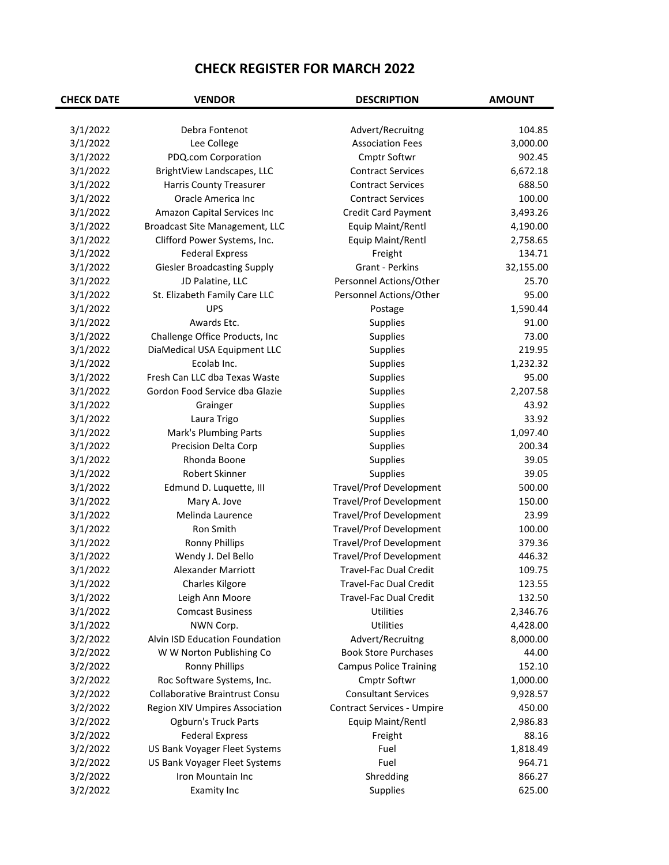| 3/1/2022<br>Debra Fontenot<br>Advert/Recruitng<br>104.85<br>3/1/2022<br>Lee College<br>3,000.00<br><b>Association Fees</b><br>3/1/2022<br>Cmptr Softwr<br>902.45<br>PDQ.com Corporation<br>3/1/2022<br><b>Contract Services</b><br>6,672.18<br>BrightView Landscapes, LLC<br>3/1/2022<br><b>Contract Services</b><br>688.50<br><b>Harris County Treasurer</b><br>3/1/2022<br>Oracle America Inc<br><b>Contract Services</b><br>100.00<br>3/1/2022<br>Credit Card Payment<br>3,493.26<br>Amazon Capital Services Inc<br>3/1/2022<br>Equip Maint/Rentl<br>4,190.00<br>Broadcast Site Management, LLC<br>3/1/2022<br>Equip Maint/Rentl<br>2,758.65<br>Clifford Power Systems, Inc.<br>3/1/2022<br>134.71<br><b>Federal Express</b><br>Freight<br>3/1/2022<br><b>Giesler Broadcasting Supply</b><br>Grant - Perkins<br>32,155.00<br>3/1/2022<br>JD Palatine, LLC<br>Personnel Actions/Other<br>25.70<br>3/1/2022<br>St. Elizabeth Family Care LLC<br>Personnel Actions/Other<br>95.00<br>3/1/2022<br><b>UPS</b><br>1,590.44<br>Postage<br>3/1/2022<br>Awards Etc.<br>91.00<br>Supplies<br>3/1/2022<br>Challenge Office Products, Inc<br>73.00<br>Supplies<br>3/1/2022<br>DiaMedical USA Equipment LLC<br>219.95<br>Supplies<br>3/1/2022<br>Ecolab Inc.<br>Supplies<br>1,232.32<br>95.00<br>3/1/2022<br>Fresh Can LLC dba Texas Waste<br>Supplies<br>3/1/2022<br>Gordon Food Service dba Glazie<br>2,207.58<br>Supplies<br>3/1/2022<br>43.92<br>Grainger<br>Supplies<br>3/1/2022<br>Supplies<br>33.92<br>Laura Trigo<br>3/1/2022<br>Supplies<br>1,097.40<br>Mark's Plumbing Parts<br>3/1/2022<br>Supplies<br>200.34<br>Precision Delta Corp<br>Rhonda Boone<br>Supplies<br>39.05<br>3/1/2022<br>Robert Skinner<br>3/1/2022<br>Supplies<br>39.05<br>500.00<br>3/1/2022<br>Edmund D. Luquette, III<br><b>Travel/Prof Development</b><br>3/1/2022<br><b>Travel/Prof Development</b><br>150.00<br>Mary A. Jove<br>3/1/2022<br>Melinda Laurence<br><b>Travel/Prof Development</b><br>23.99<br>3/1/2022<br>Ron Smith<br>100.00<br>Travel/Prof Development<br>3/1/2022<br><b>Ronny Phillips</b><br><b>Travel/Prof Development</b><br>379.36<br>3/1/2022<br>Wendy J. Del Bello<br><b>Travel/Prof Development</b><br>446.32<br>3/1/2022<br><b>Alexander Marriott</b><br><b>Travel-Fac Dual Credit</b><br>109.75<br>3/1/2022<br>Charles Kilgore<br>Travel-Fac Dual Credit<br>123.55<br>3/1/2022<br>Travel-Fac Dual Credit<br>132.50<br>Leigh Ann Moore<br>3/1/2022<br><b>Comcast Business</b><br>Utilities<br>2,346.76<br>3/1/2022<br>Utilities<br>NWN Corp.<br>4,428.00<br>Alvin ISD Education Foundation<br>Advert/Recruitng<br>3/2/2022<br>8,000.00<br>3/2/2022<br><b>Book Store Purchases</b><br>44.00<br>W W Norton Publishing Co<br>3/2/2022<br>152.10<br><b>Ronny Phillips</b><br><b>Campus Police Training</b><br>3/2/2022<br>Roc Software Systems, Inc.<br>Cmptr Softwr<br>1,000.00<br>3/2/2022<br><b>Consultant Services</b><br><b>Collaborative Braintrust Consu</b><br>9,928.57<br>3/2/2022<br>450.00<br><b>Region XIV Umpires Association</b><br><b>Contract Services - Umpire</b><br>3/2/2022<br><b>Ogburn's Truck Parts</b><br>Equip Maint/Rentl<br>2,986.83<br>3/2/2022<br><b>Federal Express</b><br>Freight<br>88.16<br>3/2/2022<br>US Bank Voyager Fleet Systems<br>Fuel<br>1,818.49<br>3/2/2022<br>US Bank Voyager Fleet Systems<br>Fuel<br>964.71<br>3/2/2022<br>Shredding<br>866.27<br>Iron Mountain Inc<br>3/2/2022<br>Supplies<br>625.00<br><b>Examity Inc</b> | <b>CHECK DATE</b> | <b>VENDOR</b> | <b>DESCRIPTION</b> | <b>AMOUNT</b> |
|------------------------------------------------------------------------------------------------------------------------------------------------------------------------------------------------------------------------------------------------------------------------------------------------------------------------------------------------------------------------------------------------------------------------------------------------------------------------------------------------------------------------------------------------------------------------------------------------------------------------------------------------------------------------------------------------------------------------------------------------------------------------------------------------------------------------------------------------------------------------------------------------------------------------------------------------------------------------------------------------------------------------------------------------------------------------------------------------------------------------------------------------------------------------------------------------------------------------------------------------------------------------------------------------------------------------------------------------------------------------------------------------------------------------------------------------------------------------------------------------------------------------------------------------------------------------------------------------------------------------------------------------------------------------------------------------------------------------------------------------------------------------------------------------------------------------------------------------------------------------------------------------------------------------------------------------------------------------------------------------------------------------------------------------------------------------------------------------------------------------------------------------------------------------------------------------------------------------------------------------------------------------------------------------------------------------------------------------------------------------------------------------------------------------------------------------------------------------------------------------------------------------------------------------------------------------------------------------------------------------------------------------------------------------------------------------------------------------------------------------------------------------------------------------------------------------------------------------------------------------------------------------------------------------------------------------------------------------------------------------------------------------------------------------------------------------------------------------------------------------------------------------------------------------------------------------------------------------------------------------------------------------------------------------------------------------------------------------------------------------------------------------------------------------------------------------------------------------|-------------------|---------------|--------------------|---------------|
|                                                                                                                                                                                                                                                                                                                                                                                                                                                                                                                                                                                                                                                                                                                                                                                                                                                                                                                                                                                                                                                                                                                                                                                                                                                                                                                                                                                                                                                                                                                                                                                                                                                                                                                                                                                                                                                                                                                                                                                                                                                                                                                                                                                                                                                                                                                                                                                                                                                                                                                                                                                                                                                                                                                                                                                                                                                                                                                                                                                                                                                                                                                                                                                                                                                                                                                                                                                                                                                                        |                   |               |                    |               |
|                                                                                                                                                                                                                                                                                                                                                                                                                                                                                                                                                                                                                                                                                                                                                                                                                                                                                                                                                                                                                                                                                                                                                                                                                                                                                                                                                                                                                                                                                                                                                                                                                                                                                                                                                                                                                                                                                                                                                                                                                                                                                                                                                                                                                                                                                                                                                                                                                                                                                                                                                                                                                                                                                                                                                                                                                                                                                                                                                                                                                                                                                                                                                                                                                                                                                                                                                                                                                                                                        |                   |               |                    |               |
|                                                                                                                                                                                                                                                                                                                                                                                                                                                                                                                                                                                                                                                                                                                                                                                                                                                                                                                                                                                                                                                                                                                                                                                                                                                                                                                                                                                                                                                                                                                                                                                                                                                                                                                                                                                                                                                                                                                                                                                                                                                                                                                                                                                                                                                                                                                                                                                                                                                                                                                                                                                                                                                                                                                                                                                                                                                                                                                                                                                                                                                                                                                                                                                                                                                                                                                                                                                                                                                                        |                   |               |                    |               |
|                                                                                                                                                                                                                                                                                                                                                                                                                                                                                                                                                                                                                                                                                                                                                                                                                                                                                                                                                                                                                                                                                                                                                                                                                                                                                                                                                                                                                                                                                                                                                                                                                                                                                                                                                                                                                                                                                                                                                                                                                                                                                                                                                                                                                                                                                                                                                                                                                                                                                                                                                                                                                                                                                                                                                                                                                                                                                                                                                                                                                                                                                                                                                                                                                                                                                                                                                                                                                                                                        |                   |               |                    |               |
|                                                                                                                                                                                                                                                                                                                                                                                                                                                                                                                                                                                                                                                                                                                                                                                                                                                                                                                                                                                                                                                                                                                                                                                                                                                                                                                                                                                                                                                                                                                                                                                                                                                                                                                                                                                                                                                                                                                                                                                                                                                                                                                                                                                                                                                                                                                                                                                                                                                                                                                                                                                                                                                                                                                                                                                                                                                                                                                                                                                                                                                                                                                                                                                                                                                                                                                                                                                                                                                                        |                   |               |                    |               |
|                                                                                                                                                                                                                                                                                                                                                                                                                                                                                                                                                                                                                                                                                                                                                                                                                                                                                                                                                                                                                                                                                                                                                                                                                                                                                                                                                                                                                                                                                                                                                                                                                                                                                                                                                                                                                                                                                                                                                                                                                                                                                                                                                                                                                                                                                                                                                                                                                                                                                                                                                                                                                                                                                                                                                                                                                                                                                                                                                                                                                                                                                                                                                                                                                                                                                                                                                                                                                                                                        |                   |               |                    |               |
|                                                                                                                                                                                                                                                                                                                                                                                                                                                                                                                                                                                                                                                                                                                                                                                                                                                                                                                                                                                                                                                                                                                                                                                                                                                                                                                                                                                                                                                                                                                                                                                                                                                                                                                                                                                                                                                                                                                                                                                                                                                                                                                                                                                                                                                                                                                                                                                                                                                                                                                                                                                                                                                                                                                                                                                                                                                                                                                                                                                                                                                                                                                                                                                                                                                                                                                                                                                                                                                                        |                   |               |                    |               |
|                                                                                                                                                                                                                                                                                                                                                                                                                                                                                                                                                                                                                                                                                                                                                                                                                                                                                                                                                                                                                                                                                                                                                                                                                                                                                                                                                                                                                                                                                                                                                                                                                                                                                                                                                                                                                                                                                                                                                                                                                                                                                                                                                                                                                                                                                                                                                                                                                                                                                                                                                                                                                                                                                                                                                                                                                                                                                                                                                                                                                                                                                                                                                                                                                                                                                                                                                                                                                                                                        |                   |               |                    |               |
|                                                                                                                                                                                                                                                                                                                                                                                                                                                                                                                                                                                                                                                                                                                                                                                                                                                                                                                                                                                                                                                                                                                                                                                                                                                                                                                                                                                                                                                                                                                                                                                                                                                                                                                                                                                                                                                                                                                                                                                                                                                                                                                                                                                                                                                                                                                                                                                                                                                                                                                                                                                                                                                                                                                                                                                                                                                                                                                                                                                                                                                                                                                                                                                                                                                                                                                                                                                                                                                                        |                   |               |                    |               |
|                                                                                                                                                                                                                                                                                                                                                                                                                                                                                                                                                                                                                                                                                                                                                                                                                                                                                                                                                                                                                                                                                                                                                                                                                                                                                                                                                                                                                                                                                                                                                                                                                                                                                                                                                                                                                                                                                                                                                                                                                                                                                                                                                                                                                                                                                                                                                                                                                                                                                                                                                                                                                                                                                                                                                                                                                                                                                                                                                                                                                                                                                                                                                                                                                                                                                                                                                                                                                                                                        |                   |               |                    |               |
|                                                                                                                                                                                                                                                                                                                                                                                                                                                                                                                                                                                                                                                                                                                                                                                                                                                                                                                                                                                                                                                                                                                                                                                                                                                                                                                                                                                                                                                                                                                                                                                                                                                                                                                                                                                                                                                                                                                                                                                                                                                                                                                                                                                                                                                                                                                                                                                                                                                                                                                                                                                                                                                                                                                                                                                                                                                                                                                                                                                                                                                                                                                                                                                                                                                                                                                                                                                                                                                                        |                   |               |                    |               |
|                                                                                                                                                                                                                                                                                                                                                                                                                                                                                                                                                                                                                                                                                                                                                                                                                                                                                                                                                                                                                                                                                                                                                                                                                                                                                                                                                                                                                                                                                                                                                                                                                                                                                                                                                                                                                                                                                                                                                                                                                                                                                                                                                                                                                                                                                                                                                                                                                                                                                                                                                                                                                                                                                                                                                                                                                                                                                                                                                                                                                                                                                                                                                                                                                                                                                                                                                                                                                                                                        |                   |               |                    |               |
|                                                                                                                                                                                                                                                                                                                                                                                                                                                                                                                                                                                                                                                                                                                                                                                                                                                                                                                                                                                                                                                                                                                                                                                                                                                                                                                                                                                                                                                                                                                                                                                                                                                                                                                                                                                                                                                                                                                                                                                                                                                                                                                                                                                                                                                                                                                                                                                                                                                                                                                                                                                                                                                                                                                                                                                                                                                                                                                                                                                                                                                                                                                                                                                                                                                                                                                                                                                                                                                                        |                   |               |                    |               |
|                                                                                                                                                                                                                                                                                                                                                                                                                                                                                                                                                                                                                                                                                                                                                                                                                                                                                                                                                                                                                                                                                                                                                                                                                                                                                                                                                                                                                                                                                                                                                                                                                                                                                                                                                                                                                                                                                                                                                                                                                                                                                                                                                                                                                                                                                                                                                                                                                                                                                                                                                                                                                                                                                                                                                                                                                                                                                                                                                                                                                                                                                                                                                                                                                                                                                                                                                                                                                                                                        |                   |               |                    |               |
|                                                                                                                                                                                                                                                                                                                                                                                                                                                                                                                                                                                                                                                                                                                                                                                                                                                                                                                                                                                                                                                                                                                                                                                                                                                                                                                                                                                                                                                                                                                                                                                                                                                                                                                                                                                                                                                                                                                                                                                                                                                                                                                                                                                                                                                                                                                                                                                                                                                                                                                                                                                                                                                                                                                                                                                                                                                                                                                                                                                                                                                                                                                                                                                                                                                                                                                                                                                                                                                                        |                   |               |                    |               |
|                                                                                                                                                                                                                                                                                                                                                                                                                                                                                                                                                                                                                                                                                                                                                                                                                                                                                                                                                                                                                                                                                                                                                                                                                                                                                                                                                                                                                                                                                                                                                                                                                                                                                                                                                                                                                                                                                                                                                                                                                                                                                                                                                                                                                                                                                                                                                                                                                                                                                                                                                                                                                                                                                                                                                                                                                                                                                                                                                                                                                                                                                                                                                                                                                                                                                                                                                                                                                                                                        |                   |               |                    |               |
|                                                                                                                                                                                                                                                                                                                                                                                                                                                                                                                                                                                                                                                                                                                                                                                                                                                                                                                                                                                                                                                                                                                                                                                                                                                                                                                                                                                                                                                                                                                                                                                                                                                                                                                                                                                                                                                                                                                                                                                                                                                                                                                                                                                                                                                                                                                                                                                                                                                                                                                                                                                                                                                                                                                                                                                                                                                                                                                                                                                                                                                                                                                                                                                                                                                                                                                                                                                                                                                                        |                   |               |                    |               |
|                                                                                                                                                                                                                                                                                                                                                                                                                                                                                                                                                                                                                                                                                                                                                                                                                                                                                                                                                                                                                                                                                                                                                                                                                                                                                                                                                                                                                                                                                                                                                                                                                                                                                                                                                                                                                                                                                                                                                                                                                                                                                                                                                                                                                                                                                                                                                                                                                                                                                                                                                                                                                                                                                                                                                                                                                                                                                                                                                                                                                                                                                                                                                                                                                                                                                                                                                                                                                                                                        |                   |               |                    |               |
|                                                                                                                                                                                                                                                                                                                                                                                                                                                                                                                                                                                                                                                                                                                                                                                                                                                                                                                                                                                                                                                                                                                                                                                                                                                                                                                                                                                                                                                                                                                                                                                                                                                                                                                                                                                                                                                                                                                                                                                                                                                                                                                                                                                                                                                                                                                                                                                                                                                                                                                                                                                                                                                                                                                                                                                                                                                                                                                                                                                                                                                                                                                                                                                                                                                                                                                                                                                                                                                                        |                   |               |                    |               |
|                                                                                                                                                                                                                                                                                                                                                                                                                                                                                                                                                                                                                                                                                                                                                                                                                                                                                                                                                                                                                                                                                                                                                                                                                                                                                                                                                                                                                                                                                                                                                                                                                                                                                                                                                                                                                                                                                                                                                                                                                                                                                                                                                                                                                                                                                                                                                                                                                                                                                                                                                                                                                                                                                                                                                                                                                                                                                                                                                                                                                                                                                                                                                                                                                                                                                                                                                                                                                                                                        |                   |               |                    |               |
|                                                                                                                                                                                                                                                                                                                                                                                                                                                                                                                                                                                                                                                                                                                                                                                                                                                                                                                                                                                                                                                                                                                                                                                                                                                                                                                                                                                                                                                                                                                                                                                                                                                                                                                                                                                                                                                                                                                                                                                                                                                                                                                                                                                                                                                                                                                                                                                                                                                                                                                                                                                                                                                                                                                                                                                                                                                                                                                                                                                                                                                                                                                                                                                                                                                                                                                                                                                                                                                                        |                   |               |                    |               |
|                                                                                                                                                                                                                                                                                                                                                                                                                                                                                                                                                                                                                                                                                                                                                                                                                                                                                                                                                                                                                                                                                                                                                                                                                                                                                                                                                                                                                                                                                                                                                                                                                                                                                                                                                                                                                                                                                                                                                                                                                                                                                                                                                                                                                                                                                                                                                                                                                                                                                                                                                                                                                                                                                                                                                                                                                                                                                                                                                                                                                                                                                                                                                                                                                                                                                                                                                                                                                                                                        |                   |               |                    |               |
|                                                                                                                                                                                                                                                                                                                                                                                                                                                                                                                                                                                                                                                                                                                                                                                                                                                                                                                                                                                                                                                                                                                                                                                                                                                                                                                                                                                                                                                                                                                                                                                                                                                                                                                                                                                                                                                                                                                                                                                                                                                                                                                                                                                                                                                                                                                                                                                                                                                                                                                                                                                                                                                                                                                                                                                                                                                                                                                                                                                                                                                                                                                                                                                                                                                                                                                                                                                                                                                                        |                   |               |                    |               |
|                                                                                                                                                                                                                                                                                                                                                                                                                                                                                                                                                                                                                                                                                                                                                                                                                                                                                                                                                                                                                                                                                                                                                                                                                                                                                                                                                                                                                                                                                                                                                                                                                                                                                                                                                                                                                                                                                                                                                                                                                                                                                                                                                                                                                                                                                                                                                                                                                                                                                                                                                                                                                                                                                                                                                                                                                                                                                                                                                                                                                                                                                                                                                                                                                                                                                                                                                                                                                                                                        |                   |               |                    |               |
|                                                                                                                                                                                                                                                                                                                                                                                                                                                                                                                                                                                                                                                                                                                                                                                                                                                                                                                                                                                                                                                                                                                                                                                                                                                                                                                                                                                                                                                                                                                                                                                                                                                                                                                                                                                                                                                                                                                                                                                                                                                                                                                                                                                                                                                                                                                                                                                                                                                                                                                                                                                                                                                                                                                                                                                                                                                                                                                                                                                                                                                                                                                                                                                                                                                                                                                                                                                                                                                                        |                   |               |                    |               |
|                                                                                                                                                                                                                                                                                                                                                                                                                                                                                                                                                                                                                                                                                                                                                                                                                                                                                                                                                                                                                                                                                                                                                                                                                                                                                                                                                                                                                                                                                                                                                                                                                                                                                                                                                                                                                                                                                                                                                                                                                                                                                                                                                                                                                                                                                                                                                                                                                                                                                                                                                                                                                                                                                                                                                                                                                                                                                                                                                                                                                                                                                                                                                                                                                                                                                                                                                                                                                                                                        |                   |               |                    |               |
|                                                                                                                                                                                                                                                                                                                                                                                                                                                                                                                                                                                                                                                                                                                                                                                                                                                                                                                                                                                                                                                                                                                                                                                                                                                                                                                                                                                                                                                                                                                                                                                                                                                                                                                                                                                                                                                                                                                                                                                                                                                                                                                                                                                                                                                                                                                                                                                                                                                                                                                                                                                                                                                                                                                                                                                                                                                                                                                                                                                                                                                                                                                                                                                                                                                                                                                                                                                                                                                                        |                   |               |                    |               |
|                                                                                                                                                                                                                                                                                                                                                                                                                                                                                                                                                                                                                                                                                                                                                                                                                                                                                                                                                                                                                                                                                                                                                                                                                                                                                                                                                                                                                                                                                                                                                                                                                                                                                                                                                                                                                                                                                                                                                                                                                                                                                                                                                                                                                                                                                                                                                                                                                                                                                                                                                                                                                                                                                                                                                                                                                                                                                                                                                                                                                                                                                                                                                                                                                                                                                                                                                                                                                                                                        |                   |               |                    |               |
|                                                                                                                                                                                                                                                                                                                                                                                                                                                                                                                                                                                                                                                                                                                                                                                                                                                                                                                                                                                                                                                                                                                                                                                                                                                                                                                                                                                                                                                                                                                                                                                                                                                                                                                                                                                                                                                                                                                                                                                                                                                                                                                                                                                                                                                                                                                                                                                                                                                                                                                                                                                                                                                                                                                                                                                                                                                                                                                                                                                                                                                                                                                                                                                                                                                                                                                                                                                                                                                                        |                   |               |                    |               |
|                                                                                                                                                                                                                                                                                                                                                                                                                                                                                                                                                                                                                                                                                                                                                                                                                                                                                                                                                                                                                                                                                                                                                                                                                                                                                                                                                                                                                                                                                                                                                                                                                                                                                                                                                                                                                                                                                                                                                                                                                                                                                                                                                                                                                                                                                                                                                                                                                                                                                                                                                                                                                                                                                                                                                                                                                                                                                                                                                                                                                                                                                                                                                                                                                                                                                                                                                                                                                                                                        |                   |               |                    |               |
|                                                                                                                                                                                                                                                                                                                                                                                                                                                                                                                                                                                                                                                                                                                                                                                                                                                                                                                                                                                                                                                                                                                                                                                                                                                                                                                                                                                                                                                                                                                                                                                                                                                                                                                                                                                                                                                                                                                                                                                                                                                                                                                                                                                                                                                                                                                                                                                                                                                                                                                                                                                                                                                                                                                                                                                                                                                                                                                                                                                                                                                                                                                                                                                                                                                                                                                                                                                                                                                                        |                   |               |                    |               |
|                                                                                                                                                                                                                                                                                                                                                                                                                                                                                                                                                                                                                                                                                                                                                                                                                                                                                                                                                                                                                                                                                                                                                                                                                                                                                                                                                                                                                                                                                                                                                                                                                                                                                                                                                                                                                                                                                                                                                                                                                                                                                                                                                                                                                                                                                                                                                                                                                                                                                                                                                                                                                                                                                                                                                                                                                                                                                                                                                                                                                                                                                                                                                                                                                                                                                                                                                                                                                                                                        |                   |               |                    |               |
|                                                                                                                                                                                                                                                                                                                                                                                                                                                                                                                                                                                                                                                                                                                                                                                                                                                                                                                                                                                                                                                                                                                                                                                                                                                                                                                                                                                                                                                                                                                                                                                                                                                                                                                                                                                                                                                                                                                                                                                                                                                                                                                                                                                                                                                                                                                                                                                                                                                                                                                                                                                                                                                                                                                                                                                                                                                                                                                                                                                                                                                                                                                                                                                                                                                                                                                                                                                                                                                                        |                   |               |                    |               |
|                                                                                                                                                                                                                                                                                                                                                                                                                                                                                                                                                                                                                                                                                                                                                                                                                                                                                                                                                                                                                                                                                                                                                                                                                                                                                                                                                                                                                                                                                                                                                                                                                                                                                                                                                                                                                                                                                                                                                                                                                                                                                                                                                                                                                                                                                                                                                                                                                                                                                                                                                                                                                                                                                                                                                                                                                                                                                                                                                                                                                                                                                                                                                                                                                                                                                                                                                                                                                                                                        |                   |               |                    |               |
|                                                                                                                                                                                                                                                                                                                                                                                                                                                                                                                                                                                                                                                                                                                                                                                                                                                                                                                                                                                                                                                                                                                                                                                                                                                                                                                                                                                                                                                                                                                                                                                                                                                                                                                                                                                                                                                                                                                                                                                                                                                                                                                                                                                                                                                                                                                                                                                                                                                                                                                                                                                                                                                                                                                                                                                                                                                                                                                                                                                                                                                                                                                                                                                                                                                                                                                                                                                                                                                                        |                   |               |                    |               |
|                                                                                                                                                                                                                                                                                                                                                                                                                                                                                                                                                                                                                                                                                                                                                                                                                                                                                                                                                                                                                                                                                                                                                                                                                                                                                                                                                                                                                                                                                                                                                                                                                                                                                                                                                                                                                                                                                                                                                                                                                                                                                                                                                                                                                                                                                                                                                                                                                                                                                                                                                                                                                                                                                                                                                                                                                                                                                                                                                                                                                                                                                                                                                                                                                                                                                                                                                                                                                                                                        |                   |               |                    |               |
|                                                                                                                                                                                                                                                                                                                                                                                                                                                                                                                                                                                                                                                                                                                                                                                                                                                                                                                                                                                                                                                                                                                                                                                                                                                                                                                                                                                                                                                                                                                                                                                                                                                                                                                                                                                                                                                                                                                                                                                                                                                                                                                                                                                                                                                                                                                                                                                                                                                                                                                                                                                                                                                                                                                                                                                                                                                                                                                                                                                                                                                                                                                                                                                                                                                                                                                                                                                                                                                                        |                   |               |                    |               |
|                                                                                                                                                                                                                                                                                                                                                                                                                                                                                                                                                                                                                                                                                                                                                                                                                                                                                                                                                                                                                                                                                                                                                                                                                                                                                                                                                                                                                                                                                                                                                                                                                                                                                                                                                                                                                                                                                                                                                                                                                                                                                                                                                                                                                                                                                                                                                                                                                                                                                                                                                                                                                                                                                                                                                                                                                                                                                                                                                                                                                                                                                                                                                                                                                                                                                                                                                                                                                                                                        |                   |               |                    |               |
|                                                                                                                                                                                                                                                                                                                                                                                                                                                                                                                                                                                                                                                                                                                                                                                                                                                                                                                                                                                                                                                                                                                                                                                                                                                                                                                                                                                                                                                                                                                                                                                                                                                                                                                                                                                                                                                                                                                                                                                                                                                                                                                                                                                                                                                                                                                                                                                                                                                                                                                                                                                                                                                                                                                                                                                                                                                                                                                                                                                                                                                                                                                                                                                                                                                                                                                                                                                                                                                                        |                   |               |                    |               |
|                                                                                                                                                                                                                                                                                                                                                                                                                                                                                                                                                                                                                                                                                                                                                                                                                                                                                                                                                                                                                                                                                                                                                                                                                                                                                                                                                                                                                                                                                                                                                                                                                                                                                                                                                                                                                                                                                                                                                                                                                                                                                                                                                                                                                                                                                                                                                                                                                                                                                                                                                                                                                                                                                                                                                                                                                                                                                                                                                                                                                                                                                                                                                                                                                                                                                                                                                                                                                                                                        |                   |               |                    |               |
|                                                                                                                                                                                                                                                                                                                                                                                                                                                                                                                                                                                                                                                                                                                                                                                                                                                                                                                                                                                                                                                                                                                                                                                                                                                                                                                                                                                                                                                                                                                                                                                                                                                                                                                                                                                                                                                                                                                                                                                                                                                                                                                                                                                                                                                                                                                                                                                                                                                                                                                                                                                                                                                                                                                                                                                                                                                                                                                                                                                                                                                                                                                                                                                                                                                                                                                                                                                                                                                                        |                   |               |                    |               |
|                                                                                                                                                                                                                                                                                                                                                                                                                                                                                                                                                                                                                                                                                                                                                                                                                                                                                                                                                                                                                                                                                                                                                                                                                                                                                                                                                                                                                                                                                                                                                                                                                                                                                                                                                                                                                                                                                                                                                                                                                                                                                                                                                                                                                                                                                                                                                                                                                                                                                                                                                                                                                                                                                                                                                                                                                                                                                                                                                                                                                                                                                                                                                                                                                                                                                                                                                                                                                                                                        |                   |               |                    |               |
|                                                                                                                                                                                                                                                                                                                                                                                                                                                                                                                                                                                                                                                                                                                                                                                                                                                                                                                                                                                                                                                                                                                                                                                                                                                                                                                                                                                                                                                                                                                                                                                                                                                                                                                                                                                                                                                                                                                                                                                                                                                                                                                                                                                                                                                                                                                                                                                                                                                                                                                                                                                                                                                                                                                                                                                                                                                                                                                                                                                                                                                                                                                                                                                                                                                                                                                                                                                                                                                                        |                   |               |                    |               |
|                                                                                                                                                                                                                                                                                                                                                                                                                                                                                                                                                                                                                                                                                                                                                                                                                                                                                                                                                                                                                                                                                                                                                                                                                                                                                                                                                                                                                                                                                                                                                                                                                                                                                                                                                                                                                                                                                                                                                                                                                                                                                                                                                                                                                                                                                                                                                                                                                                                                                                                                                                                                                                                                                                                                                                                                                                                                                                                                                                                                                                                                                                                                                                                                                                                                                                                                                                                                                                                                        |                   |               |                    |               |
|                                                                                                                                                                                                                                                                                                                                                                                                                                                                                                                                                                                                                                                                                                                                                                                                                                                                                                                                                                                                                                                                                                                                                                                                                                                                                                                                                                                                                                                                                                                                                                                                                                                                                                                                                                                                                                                                                                                                                                                                                                                                                                                                                                                                                                                                                                                                                                                                                                                                                                                                                                                                                                                                                                                                                                                                                                                                                                                                                                                                                                                                                                                                                                                                                                                                                                                                                                                                                                                                        |                   |               |                    |               |
|                                                                                                                                                                                                                                                                                                                                                                                                                                                                                                                                                                                                                                                                                                                                                                                                                                                                                                                                                                                                                                                                                                                                                                                                                                                                                                                                                                                                                                                                                                                                                                                                                                                                                                                                                                                                                                                                                                                                                                                                                                                                                                                                                                                                                                                                                                                                                                                                                                                                                                                                                                                                                                                                                                                                                                                                                                                                                                                                                                                                                                                                                                                                                                                                                                                                                                                                                                                                                                                                        |                   |               |                    |               |
|                                                                                                                                                                                                                                                                                                                                                                                                                                                                                                                                                                                                                                                                                                                                                                                                                                                                                                                                                                                                                                                                                                                                                                                                                                                                                                                                                                                                                                                                                                                                                                                                                                                                                                                                                                                                                                                                                                                                                                                                                                                                                                                                                                                                                                                                                                                                                                                                                                                                                                                                                                                                                                                                                                                                                                                                                                                                                                                                                                                                                                                                                                                                                                                                                                                                                                                                                                                                                                                                        |                   |               |                    |               |
|                                                                                                                                                                                                                                                                                                                                                                                                                                                                                                                                                                                                                                                                                                                                                                                                                                                                                                                                                                                                                                                                                                                                                                                                                                                                                                                                                                                                                                                                                                                                                                                                                                                                                                                                                                                                                                                                                                                                                                                                                                                                                                                                                                                                                                                                                                                                                                                                                                                                                                                                                                                                                                                                                                                                                                                                                                                                                                                                                                                                                                                                                                                                                                                                                                                                                                                                                                                                                                                                        |                   |               |                    |               |
|                                                                                                                                                                                                                                                                                                                                                                                                                                                                                                                                                                                                                                                                                                                                                                                                                                                                                                                                                                                                                                                                                                                                                                                                                                                                                                                                                                                                                                                                                                                                                                                                                                                                                                                                                                                                                                                                                                                                                                                                                                                                                                                                                                                                                                                                                                                                                                                                                                                                                                                                                                                                                                                                                                                                                                                                                                                                                                                                                                                                                                                                                                                                                                                                                                                                                                                                                                                                                                                                        |                   |               |                    |               |
|                                                                                                                                                                                                                                                                                                                                                                                                                                                                                                                                                                                                                                                                                                                                                                                                                                                                                                                                                                                                                                                                                                                                                                                                                                                                                                                                                                                                                                                                                                                                                                                                                                                                                                                                                                                                                                                                                                                                                                                                                                                                                                                                                                                                                                                                                                                                                                                                                                                                                                                                                                                                                                                                                                                                                                                                                                                                                                                                                                                                                                                                                                                                                                                                                                                                                                                                                                                                                                                                        |                   |               |                    |               |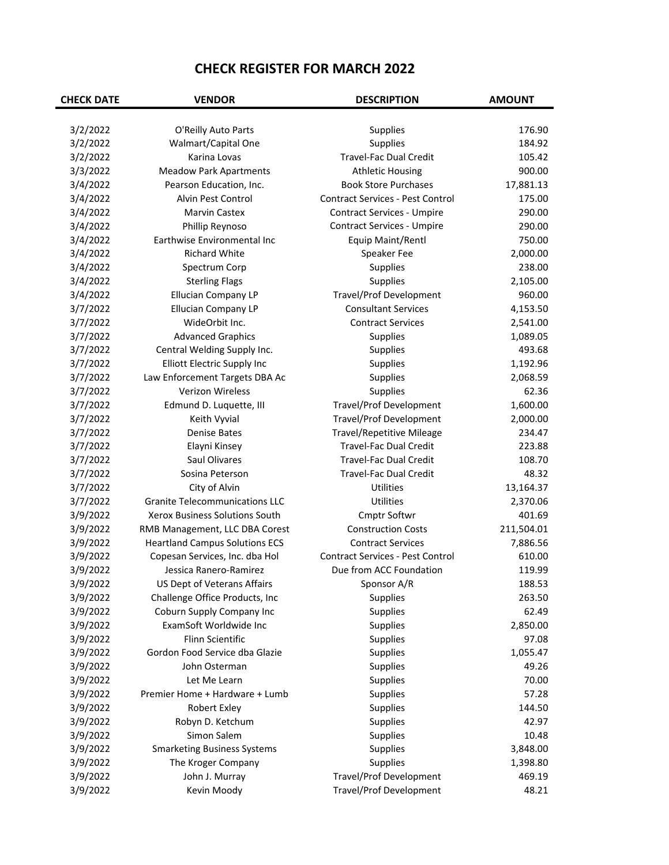| <b>CHECK DATE</b> | <b>VENDOR</b>                         | <b>DESCRIPTION</b>                      | <b>AMOUNT</b> |
|-------------------|---------------------------------------|-----------------------------------------|---------------|
|                   |                                       |                                         |               |
| 3/2/2022          | O'Reilly Auto Parts                   | <b>Supplies</b>                         | 176.90        |
| 3/2/2022          | Walmart/Capital One                   | Supplies                                | 184.92        |
| 3/2/2022          | Karina Lovas                          | <b>Travel-Fac Dual Credit</b>           | 105.42        |
| 3/3/2022          | <b>Meadow Park Apartments</b>         | <b>Athletic Housing</b>                 | 900.00        |
| 3/4/2022          | Pearson Education, Inc.               | <b>Book Store Purchases</b>             | 17,881.13     |
| 3/4/2022          | Alvin Pest Control                    | <b>Contract Services - Pest Control</b> | 175.00        |
| 3/4/2022          | <b>Marvin Castex</b>                  | <b>Contract Services - Umpire</b>       | 290.00        |
| 3/4/2022          | Phillip Reynoso                       | <b>Contract Services - Umpire</b>       | 290.00        |
| 3/4/2022          | Earthwise Environmental Inc           | Equip Maint/Rentl                       | 750.00        |
| 3/4/2022          | <b>Richard White</b>                  | Speaker Fee                             | 2,000.00      |
| 3/4/2022          | Spectrum Corp                         | Supplies                                | 238.00        |
| 3/4/2022          | <b>Sterling Flags</b>                 | Supplies                                | 2,105.00      |
| 3/4/2022          | <b>Ellucian Company LP</b>            | <b>Travel/Prof Development</b>          | 960.00        |
| 3/7/2022          | <b>Ellucian Company LP</b>            | <b>Consultant Services</b>              | 4,153.50      |
| 3/7/2022          | WideOrbit Inc.                        | <b>Contract Services</b>                | 2,541.00      |
| 3/7/2022          | <b>Advanced Graphics</b>              | <b>Supplies</b>                         | 1,089.05      |
| 3/7/2022          | Central Welding Supply Inc.           | Supplies                                | 493.68        |
| 3/7/2022          | <b>Elliott Electric Supply Inc</b>    | <b>Supplies</b>                         | 1,192.96      |
| 3/7/2022          | Law Enforcement Targets DBA Ac        | <b>Supplies</b>                         | 2,068.59      |
| 3/7/2022          | <b>Verizon Wireless</b>               | Supplies                                | 62.36         |
| 3/7/2022          | Edmund D. Luquette, III               | <b>Travel/Prof Development</b>          | 1,600.00      |
| 3/7/2022          | Keith Vyvial                          | <b>Travel/Prof Development</b>          | 2,000.00      |
| 3/7/2022          | <b>Denise Bates</b>                   | <b>Travel/Repetitive Mileage</b>        | 234.47        |
| 3/7/2022          | Elayni Kinsey                         | <b>Travel-Fac Dual Credit</b>           | 223.88        |
| 3/7/2022          | Saul Olivares                         | <b>Travel-Fac Dual Credit</b>           | 108.70        |
| 3/7/2022          | Sosina Peterson                       | <b>Travel-Fac Dual Credit</b>           | 48.32         |
| 3/7/2022          | City of Alvin                         | Utilities                               | 13,164.37     |
| 3/7/2022          | <b>Granite Telecommunications LLC</b> | Utilities                               | 2,370.06      |
| 3/9/2022          | Xerox Business Solutions South        | Cmptr Softwr                            | 401.69        |
| 3/9/2022          | RMB Management, LLC DBA Corest        | <b>Construction Costs</b>               | 211,504.01    |
| 3/9/2022          | <b>Heartland Campus Solutions ECS</b> | <b>Contract Services</b>                | 7,886.56      |
| 3/9/2022          | Copesan Services, Inc. dba Hol        | <b>Contract Services - Pest Control</b> | 610.00        |
| 3/9/2022          | Jessica Ranero-Ramirez                | Due from ACC Foundation                 | 119.99        |
| 3/9/2022          | US Dept of Veterans Affairs           | Sponsor A/R                             | 188.53        |
| 3/9/2022          | Challenge Office Products, Inc        | <b>Supplies</b>                         | 263.50        |
| 3/9/2022          | Coburn Supply Company Inc             | <b>Supplies</b>                         | 62.49         |
| 3/9/2022          | ExamSoft Worldwide Inc                | Supplies                                | 2,850.00      |
| 3/9/2022          | Flinn Scientific                      | <b>Supplies</b>                         | 97.08         |
| 3/9/2022          | Gordon Food Service dba Glazie        | Supplies                                | 1,055.47      |
| 3/9/2022          | John Osterman                         | Supplies                                | 49.26         |
| 3/9/2022          | Let Me Learn                          | Supplies                                | 70.00         |
| 3/9/2022          | Premier Home + Hardware + Lumb        | Supplies                                | 57.28         |
| 3/9/2022          | Robert Exley                          | <b>Supplies</b>                         | 144.50        |
| 3/9/2022          | Robyn D. Ketchum                      | <b>Supplies</b>                         | 42.97         |
| 3/9/2022          | Simon Salem                           | <b>Supplies</b>                         | 10.48         |
| 3/9/2022          | <b>Smarketing Business Systems</b>    | <b>Supplies</b>                         | 3,848.00      |
| 3/9/2022          | The Kroger Company                    | Supplies                                | 1,398.80      |
| 3/9/2022          | John J. Murray                        | <b>Travel/Prof Development</b>          | 469.19        |
| 3/9/2022          | Kevin Moody                           | <b>Travel/Prof Development</b>          | 48.21         |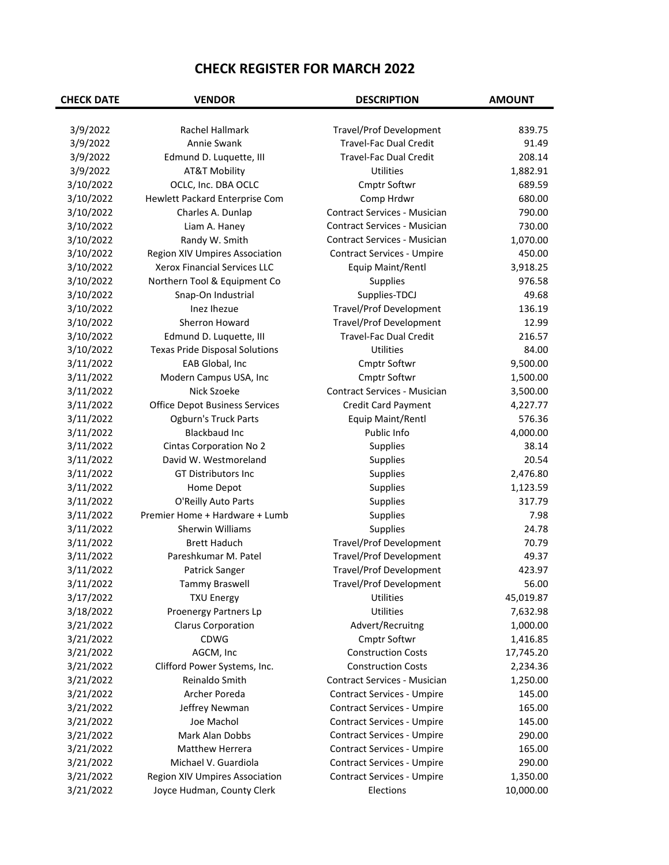| <b>CHECK DATE</b> | <b>VENDOR</b>                         | <b>DESCRIPTION</b>                  | <b>AMOUNT</b> |
|-------------------|---------------------------------------|-------------------------------------|---------------|
|                   |                                       |                                     |               |
| 3/9/2022          | Rachel Hallmark                       | <b>Travel/Prof Development</b>      | 839.75        |
| 3/9/2022          | Annie Swank                           | <b>Travel-Fac Dual Credit</b>       | 91.49         |
| 3/9/2022          | Edmund D. Luquette, III               | <b>Travel-Fac Dual Credit</b>       | 208.14        |
| 3/9/2022          | <b>AT&amp;T Mobility</b>              | Utilities                           | 1,882.91      |
| 3/10/2022         | OCLC, Inc. DBA OCLC                   | Cmptr Softwr                        | 689.59        |
| 3/10/2022         | Hewlett Packard Enterprise Com        | Comp Hrdwr                          | 680.00        |
| 3/10/2022         | Charles A. Dunlap                     | <b>Contract Services - Musician</b> | 790.00        |
| 3/10/2022         | Liam A. Haney                         | Contract Services - Musician        | 730.00        |
| 3/10/2022         | Randy W. Smith                        | <b>Contract Services - Musician</b> | 1,070.00      |
| 3/10/2022         | Region XIV Umpires Association        | <b>Contract Services - Umpire</b>   | 450.00        |
| 3/10/2022         | Xerox Financial Services LLC          | Equip Maint/Rentl                   | 3,918.25      |
| 3/10/2022         | Northern Tool & Equipment Co          | <b>Supplies</b>                     | 976.58        |
| 3/10/2022         | Snap-On Industrial                    | Supplies-TDCJ                       | 49.68         |
| 3/10/2022         | Inez Ihezue                           | <b>Travel/Prof Development</b>      | 136.19        |
| 3/10/2022         | Sherron Howard                        | <b>Travel/Prof Development</b>      | 12.99         |
| 3/10/2022         | Edmund D. Luquette, III               | <b>Travel-Fac Dual Credit</b>       | 216.57        |
| 3/10/2022         | <b>Texas Pride Disposal Solutions</b> | <b>Utilities</b>                    | 84.00         |
| 3/11/2022         | EAB Global, Inc                       | Cmptr Softwr                        | 9,500.00      |
| 3/11/2022         | Modern Campus USA, Inc                | Cmptr Softwr                        | 1,500.00      |
| 3/11/2022         | Nick Szoeke                           | <b>Contract Services - Musician</b> | 3,500.00      |
| 3/11/2022         | <b>Office Depot Business Services</b> | Credit Card Payment                 | 4,227.77      |
| 3/11/2022         | Ogburn's Truck Parts                  | Equip Maint/Rentl                   | 576.36        |
| 3/11/2022         | <b>Blackbaud Inc</b>                  | Public Info                         | 4,000.00      |
| 3/11/2022         | <b>Cintas Corporation No 2</b>        | <b>Supplies</b>                     | 38.14         |
| 3/11/2022         | David W. Westmoreland                 | <b>Supplies</b>                     | 20.54         |
| 3/11/2022         | GT Distributors Inc                   | <b>Supplies</b>                     | 2,476.80      |
| 3/11/2022         | Home Depot                            | Supplies                            | 1,123.59      |
| 3/11/2022         | O'Reilly Auto Parts                   | Supplies                            | 317.79        |
| 3/11/2022         | Premier Home + Hardware + Lumb        | Supplies                            | 7.98          |
| 3/11/2022         | Sherwin Williams                      | Supplies                            | 24.78         |
| 3/11/2022         | <b>Brett Haduch</b>                   | <b>Travel/Prof Development</b>      | 70.79         |
| 3/11/2022         | Pareshkumar M. Patel                  | <b>Travel/Prof Development</b>      | 49.37         |
| 3/11/2022         | Patrick Sanger                        | <b>Travel/Prof Development</b>      | 423.97        |
| 3/11/2022         | Tammy Braswell                        | Travel/Prof Development             | 56.00         |
| 3/17/2022         | <b>TXU Energy</b>                     | Utilities                           | 45,019.87     |
| 3/18/2022         | Proenergy Partners Lp                 | Utilities                           | 7,632.98      |
| 3/21/2022         | <b>Clarus Corporation</b>             | Advert/Recruitng                    | 1,000.00      |
| 3/21/2022         | <b>CDWG</b>                           | Cmptr Softwr                        | 1,416.85      |
| 3/21/2022         | AGCM, Inc                             | <b>Construction Costs</b>           | 17,745.20     |
| 3/21/2022         | Clifford Power Systems, Inc.          | <b>Construction Costs</b>           | 2,234.36      |
| 3/21/2022         | Reinaldo Smith                        | Contract Services - Musician        | 1,250.00      |
| 3/21/2022         | Archer Poreda                         | <b>Contract Services - Umpire</b>   | 145.00        |
| 3/21/2022         | Jeffrey Newman                        | <b>Contract Services - Umpire</b>   | 165.00        |
| 3/21/2022         | Joe Machol                            | <b>Contract Services - Umpire</b>   | 145.00        |
| 3/21/2022         | Mark Alan Dobbs                       | <b>Contract Services - Umpire</b>   | 290.00        |
| 3/21/2022         | <b>Matthew Herrera</b>                | <b>Contract Services - Umpire</b>   | 165.00        |
| 3/21/2022         | Michael V. Guardiola                  | <b>Contract Services - Umpire</b>   | 290.00        |
| 3/21/2022         | Region XIV Umpires Association        | <b>Contract Services - Umpire</b>   | 1,350.00      |
| 3/21/2022         | Joyce Hudman, County Clerk            | Elections                           | 10,000.00     |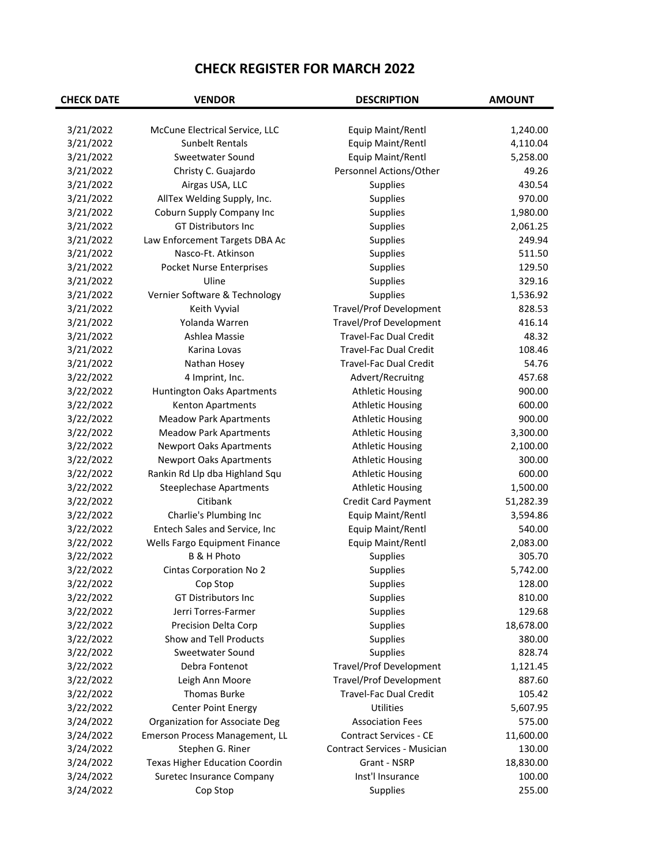| <b>CHECK DATE</b> | <b>VENDOR</b>                         | <b>DESCRIPTION</b>                  | <b>AMOUNT</b> |
|-------------------|---------------------------------------|-------------------------------------|---------------|
|                   |                                       |                                     |               |
| 3/21/2022         | McCune Electrical Service, LLC        | Equip Maint/Rentl                   | 1,240.00      |
| 3/21/2022         | <b>Sunbelt Rentals</b>                | Equip Maint/Rentl                   | 4,110.04      |
| 3/21/2022         | Sweetwater Sound                      | Equip Maint/Rentl                   | 5,258.00      |
| 3/21/2022         | Christy C. Guajardo                   | Personnel Actions/Other             | 49.26         |
| 3/21/2022         | Airgas USA, LLC                       | Supplies                            | 430.54        |
| 3/21/2022         | AllTex Welding Supply, Inc.           | Supplies                            | 970.00        |
| 3/21/2022         | Coburn Supply Company Inc             | <b>Supplies</b>                     | 1,980.00      |
| 3/21/2022         | GT Distributors Inc                   | <b>Supplies</b>                     | 2,061.25      |
| 3/21/2022         | Law Enforcement Targets DBA Ac        | Supplies                            | 249.94        |
| 3/21/2022         | Nasco-Ft. Atkinson                    | Supplies                            | 511.50        |
| 3/21/2022         | Pocket Nurse Enterprises              | Supplies                            | 129.50        |
| 3/21/2022         | Uline                                 | Supplies                            | 329.16        |
| 3/21/2022         | Vernier Software & Technology         | Supplies                            | 1,536.92      |
| 3/21/2022         | Keith Vyvial                          | <b>Travel/Prof Development</b>      | 828.53        |
| 3/21/2022         | Yolanda Warren                        | Travel/Prof Development             | 416.14        |
| 3/21/2022         | Ashlea Massie                         | Travel-Fac Dual Credit              | 48.32         |
| 3/21/2022         | Karina Lovas                          | <b>Travel-Fac Dual Credit</b>       | 108.46        |
| 3/21/2022         | Nathan Hosey                          | Travel-Fac Dual Credit              | 54.76         |
| 3/22/2022         | 4 Imprint, Inc.                       | Advert/Recruitng                    | 457.68        |
| 3/22/2022         | Huntington Oaks Apartments            | <b>Athletic Housing</b>             | 900.00        |
| 3/22/2022         | Kenton Apartments                     | <b>Athletic Housing</b>             | 600.00        |
| 3/22/2022         | <b>Meadow Park Apartments</b>         | <b>Athletic Housing</b>             | 900.00        |
| 3/22/2022         | <b>Meadow Park Apartments</b>         | <b>Athletic Housing</b>             | 3,300.00      |
| 3/22/2022         | <b>Newport Oaks Apartments</b>        | <b>Athletic Housing</b>             | 2,100.00      |
| 3/22/2022         | <b>Newport Oaks Apartments</b>        | <b>Athletic Housing</b>             | 300.00        |
| 3/22/2022         | Rankin Rd Llp dba Highland Squ        | <b>Athletic Housing</b>             | 600.00        |
| 3/22/2022         | <b>Steeplechase Apartments</b>        | <b>Athletic Housing</b>             | 1,500.00      |
| 3/22/2022         | Citibank                              | Credit Card Payment                 | 51,282.39     |
| 3/22/2022         | Charlie's Plumbing Inc                | Equip Maint/Rentl                   | 3,594.86      |
| 3/22/2022         | Entech Sales and Service, Inc         | Equip Maint/Rentl                   | 540.00        |
| 3/22/2022         | Wells Fargo Equipment Finance         | Equip Maint/Rentl                   | 2,083.00      |
| 3/22/2022         | B & H Photo                           | Supplies                            | 305.70        |
| 3/22/2022         | <b>Cintas Corporation No 2</b>        | Supplies                            | 5,742.00      |
| 3/22/2022         | Cop Stop                              | Supplies                            | 128.00        |
| 3/22/2022         | GT Distributors Inc                   | Supplies                            | 810.00        |
| 3/22/2022         | Jerri Torres-Farmer                   | Supplies                            | 129.68        |
| 3/22/2022         | Precision Delta Corp                  | Supplies                            | 18,678.00     |
| 3/22/2022         | Show and Tell Products                | <b>Supplies</b>                     | 380.00        |
| 3/22/2022         | Sweetwater Sound                      | Supplies                            | 828.74        |
| 3/22/2022         | Debra Fontenot                        | <b>Travel/Prof Development</b>      | 1,121.45      |
| 3/22/2022         | Leigh Ann Moore                       | <b>Travel/Prof Development</b>      | 887.60        |
| 3/22/2022         | <b>Thomas Burke</b>                   | Travel-Fac Dual Credit              | 105.42        |
| 3/22/2022         | <b>Center Point Energy</b>            | Utilities                           | 5,607.95      |
| 3/24/2022         | Organization for Associate Deg        | <b>Association Fees</b>             | 575.00        |
| 3/24/2022         | Emerson Process Management, LL        | <b>Contract Services - CE</b>       | 11,600.00     |
| 3/24/2022         | Stephen G. Riner                      | <b>Contract Services - Musician</b> | 130.00        |
|                   |                                       | Grant - NSRP                        |               |
| 3/24/2022         | <b>Texas Higher Education Coordin</b> | Inst'l Insurance                    | 18,830.00     |
| 3/24/2022         | Suretec Insurance Company             |                                     | 100.00        |
| 3/24/2022         | Cop Stop                              | <b>Supplies</b>                     | 255.00        |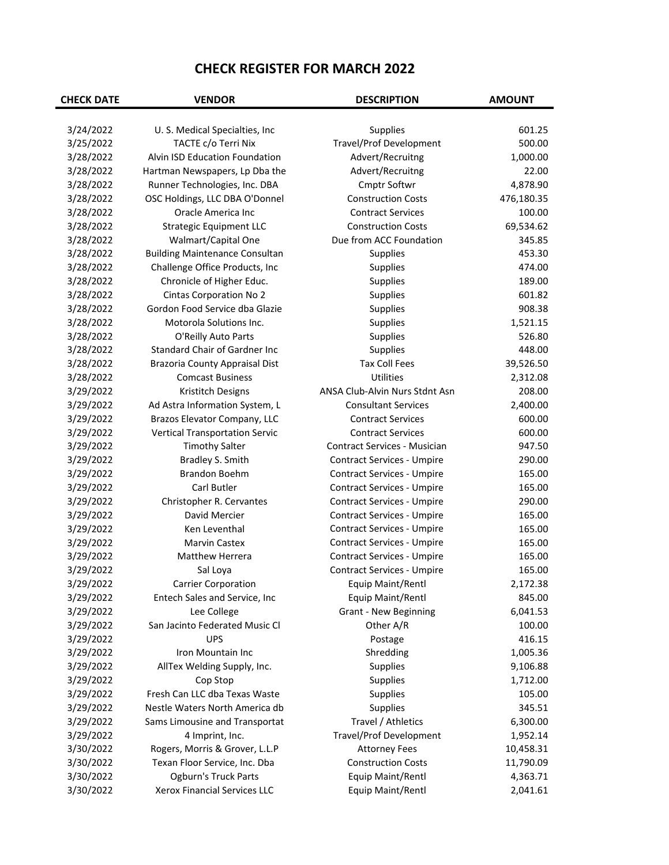| <b>CHECK DATE</b> | <b>VENDOR</b>                         | <b>DESCRIPTION</b>                  | <b>AMOUNT</b> |
|-------------------|---------------------------------------|-------------------------------------|---------------|
|                   |                                       |                                     |               |
| 3/24/2022         | U. S. Medical Specialties, Inc.       | Supplies                            | 601.25        |
| 3/25/2022         | TACTE c/o Terri Nix                   | <b>Travel/Prof Development</b>      | 500.00        |
| 3/28/2022         | Alvin ISD Education Foundation        | Advert/Recruitng                    | 1,000.00      |
| 3/28/2022         | Hartman Newspapers, Lp Dba the        | Advert/Recruitng                    | 22.00         |
| 3/28/2022         | Runner Technologies, Inc. DBA         | Cmptr Softwr                        | 4,878.90      |
| 3/28/2022         | OSC Holdings, LLC DBA O'Donnel        | <b>Construction Costs</b>           | 476,180.35    |
| 3/28/2022         | Oracle America Inc                    | <b>Contract Services</b>            | 100.00        |
| 3/28/2022         | <b>Strategic Equipment LLC</b>        | <b>Construction Costs</b>           | 69,534.62     |
| 3/28/2022         | Walmart/Capital One                   | Due from ACC Foundation             | 345.85        |
| 3/28/2022         | <b>Building Maintenance Consultan</b> | Supplies                            | 453.30        |
| 3/28/2022         | Challenge Office Products, Inc        | Supplies                            | 474.00        |
| 3/28/2022         | Chronicle of Higher Educ.             | Supplies                            | 189.00        |
| 3/28/2022         | <b>Cintas Corporation No 2</b>        | Supplies                            | 601.82        |
| 3/28/2022         | Gordon Food Service dba Glazie        | Supplies                            | 908.38        |
| 3/28/2022         | Motorola Solutions Inc.               | Supplies                            | 1,521.15      |
| 3/28/2022         | O'Reilly Auto Parts                   | Supplies                            | 526.80        |
| 3/28/2022         | Standard Chair of Gardner Inc         | Supplies                            | 448.00        |
| 3/28/2022         | <b>Brazoria County Appraisal Dist</b> | <b>Tax Coll Fees</b>                | 39,526.50     |
| 3/28/2022         | <b>Comcast Business</b>               | <b>Utilities</b>                    | 2,312.08      |
| 3/29/2022         | Kristitch Designs                     | ANSA Club-Alvin Nurs Stdnt Asn      | 208.00        |
| 3/29/2022         | Ad Astra Information System, L        | <b>Consultant Services</b>          | 2,400.00      |
| 3/29/2022         | Brazos Elevator Company, LLC          | <b>Contract Services</b>            | 600.00        |
| 3/29/2022         | <b>Vertical Transportation Servic</b> | <b>Contract Services</b>            | 600.00        |
| 3/29/2022         | <b>Timothy Salter</b>                 | <b>Contract Services - Musician</b> | 947.50        |
| 3/29/2022         | Bradley S. Smith                      | <b>Contract Services - Umpire</b>   | 290.00        |
| 3/29/2022         | <b>Brandon Boehm</b>                  | <b>Contract Services - Umpire</b>   | 165.00        |
| 3/29/2022         | <b>Carl Butler</b>                    | <b>Contract Services - Umpire</b>   | 165.00        |
| 3/29/2022         | Christopher R. Cervantes              | <b>Contract Services - Umpire</b>   | 290.00        |
| 3/29/2022         | David Mercier                         | <b>Contract Services - Umpire</b>   | 165.00        |
| 3/29/2022         | Ken Leventhal                         | <b>Contract Services - Umpire</b>   | 165.00        |
| 3/29/2022         | <b>Marvin Castex</b>                  | <b>Contract Services - Umpire</b>   | 165.00        |
| 3/29/2022         | <b>Matthew Herrera</b>                | <b>Contract Services - Umpire</b>   | 165.00        |
| 3/29/2022         | Sal Loya                              | <b>Contract Services - Umpire</b>   | 165.00        |
| 3/29/2022         | <b>Carrier Corporation</b>            | Equip Maint/Rentl                   | 2,172.38      |
| 3/29/2022         | Entech Sales and Service, Inc         | Equip Maint/Rentl                   | 845.00        |
| 3/29/2022         | Lee College                           | <b>Grant - New Beginning</b>        | 6,041.53      |
| 3/29/2022         | San Jacinto Federated Music Cl        | Other A/R                           | 100.00        |
| 3/29/2022         | <b>UPS</b>                            | Postage                             | 416.15        |
| 3/29/2022         | Iron Mountain Inc                     | Shredding                           | 1,005.36      |
| 3/29/2022         | AllTex Welding Supply, Inc.           | Supplies                            | 9,106.88      |
| 3/29/2022         | Cop Stop                              | Supplies                            | 1,712.00      |
| 3/29/2022         | Fresh Can LLC dba Texas Waste         | Supplies                            | 105.00        |
| 3/29/2022         | Nestle Waters North America db        | Supplies                            | 345.51        |
| 3/29/2022         | Sams Limousine and Transportat        | Travel / Athletics                  | 6,300.00      |
| 3/29/2022         | 4 Imprint, Inc.                       | <b>Travel/Prof Development</b>      | 1,952.14      |
| 3/30/2022         | Rogers, Morris & Grover, L.L.P        | <b>Attorney Fees</b>                | 10,458.31     |
| 3/30/2022         | Texan Floor Service, Inc. Dba         | <b>Construction Costs</b>           | 11,790.09     |
| 3/30/2022         | Ogburn's Truck Parts                  | Equip Maint/Rentl                   | 4,363.71      |
| 3/30/2022         | Xerox Financial Services LLC          | Equip Maint/Rentl                   | 2,041.61      |